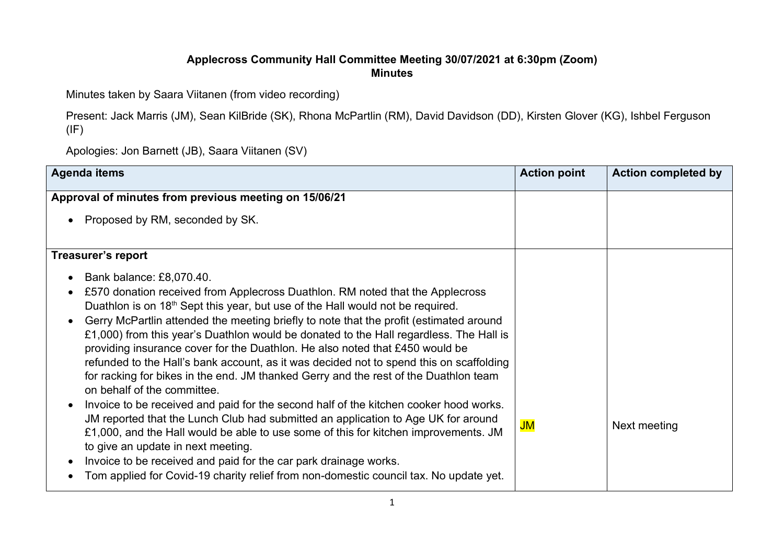## Applecross Community Hall Committee Meeting 30/07/2021 at 6:30pm (Zoom) Minutes

Minutes taken by Saara Viitanen (from video recording)

Present: Jack Marris (JM), Sean KilBride (SK), Rhona McPartlin (RM), David Davidson (DD), Kirsten Glover (KG), Ishbel Ferguson (IF)

Apologies: Jon Barnett (JB), Saara Viitanen (SV)

| <b>Agenda items</b>                                                                                                                                                                                                                                                                                                                                                                                                                                                                                                                                                                                                                                                                                                                                                                                                                                                                                                                                                                                                                                                                                                                                                                             | <b>Action point</b> | <b>Action completed by</b> |
|-------------------------------------------------------------------------------------------------------------------------------------------------------------------------------------------------------------------------------------------------------------------------------------------------------------------------------------------------------------------------------------------------------------------------------------------------------------------------------------------------------------------------------------------------------------------------------------------------------------------------------------------------------------------------------------------------------------------------------------------------------------------------------------------------------------------------------------------------------------------------------------------------------------------------------------------------------------------------------------------------------------------------------------------------------------------------------------------------------------------------------------------------------------------------------------------------|---------------------|----------------------------|
| Approval of minutes from previous meeting on 15/06/21                                                                                                                                                                                                                                                                                                                                                                                                                                                                                                                                                                                                                                                                                                                                                                                                                                                                                                                                                                                                                                                                                                                                           |                     |                            |
| Proposed by RM, seconded by SK.                                                                                                                                                                                                                                                                                                                                                                                                                                                                                                                                                                                                                                                                                                                                                                                                                                                                                                                                                                                                                                                                                                                                                                 |                     |                            |
| <b>Treasurer's report</b>                                                                                                                                                                                                                                                                                                                                                                                                                                                                                                                                                                                                                                                                                                                                                                                                                                                                                                                                                                                                                                                                                                                                                                       |                     |                            |
| Bank balance: £8,070.40.<br>£570 donation received from Applecross Duathlon. RM noted that the Applecross<br>Duathlon is on 18 <sup>th</sup> Sept this year, but use of the Hall would not be required.<br>Gerry McPartlin attended the meeting briefly to note that the profit (estimated around<br>$\bullet$<br>£1,000) from this year's Duathlon would be donated to the Hall regardless. The Hall is<br>providing insurance cover for the Duathlon. He also noted that £450 would be<br>refunded to the Hall's bank account, as it was decided not to spend this on scaffolding<br>for racking for bikes in the end. JM thanked Gerry and the rest of the Duathlon team<br>on behalf of the committee.<br>Invoice to be received and paid for the second half of the kitchen cooker hood works.<br>$\bullet$<br>JM reported that the Lunch Club had submitted an application to Age UK for around<br>£1,000, and the Hall would be able to use some of this for kitchen improvements. JM<br>to give an update in next meeting.<br>Invoice to be received and paid for the car park drainage works.<br>Tom applied for Covid-19 charity relief from non-domestic council tax. No update yet. | JM                  | Next meeting               |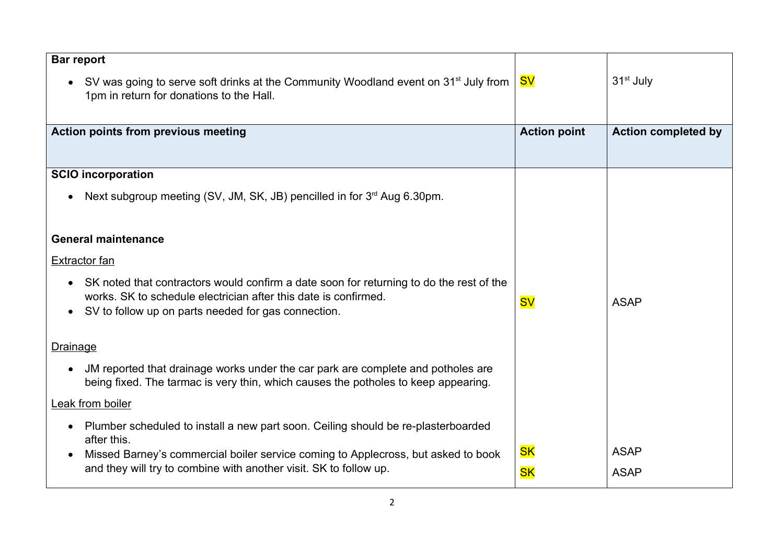| <b>Bar report</b>                                                                                                                           |                     |                            |
|---------------------------------------------------------------------------------------------------------------------------------------------|---------------------|----------------------------|
| SV was going to serve soft drinks at the Community Woodland event on 31 <sup>st</sup> July from<br>1pm in return for donations to the Hall. | <b>SV</b>           | 31 <sup>st</sup> July      |
| Action points from previous meeting                                                                                                         | <b>Action point</b> | <b>Action completed by</b> |
|                                                                                                                                             |                     |                            |
| <b>SCIO incorporation</b>                                                                                                                   |                     |                            |
| Next subgroup meeting (SV, JM, SK, JB) pencilled in for 3 <sup>rd</sup> Aug 6.30pm.                                                         |                     |                            |
|                                                                                                                                             |                     |                            |
| <b>General maintenance</b>                                                                                                                  |                     |                            |
| <b>Extractor fan</b>                                                                                                                        |                     |                            |
| SK noted that contractors would confirm a date soon for returning to do the rest of the                                                     |                     |                            |
| works. SK to schedule electrician after this date is confirmed.<br>SV to follow up on parts needed for gas connection.                      | <b>SV</b>           | <b>ASAP</b>                |
|                                                                                                                                             |                     |                            |
| Drainage                                                                                                                                    |                     |                            |
| JM reported that drainage works under the car park are complete and potholes are                                                            |                     |                            |
| being fixed. The tarmac is very thin, which causes the potholes to keep appearing.                                                          |                     |                            |
| Leak from boiler                                                                                                                            |                     |                            |
| Plumber scheduled to install a new part soon. Ceiling should be re-plasterboarded                                                           |                     |                            |
| after this.<br>Missed Barney's commercial boiler service coming to Applecross, but asked to book<br>$\bullet$                               | <b>SK</b>           | <b>ASAP</b>                |
| and they will try to combine with another visit. SK to follow up.                                                                           | <b>SK</b>           | <b>ASAP</b>                |
|                                                                                                                                             |                     |                            |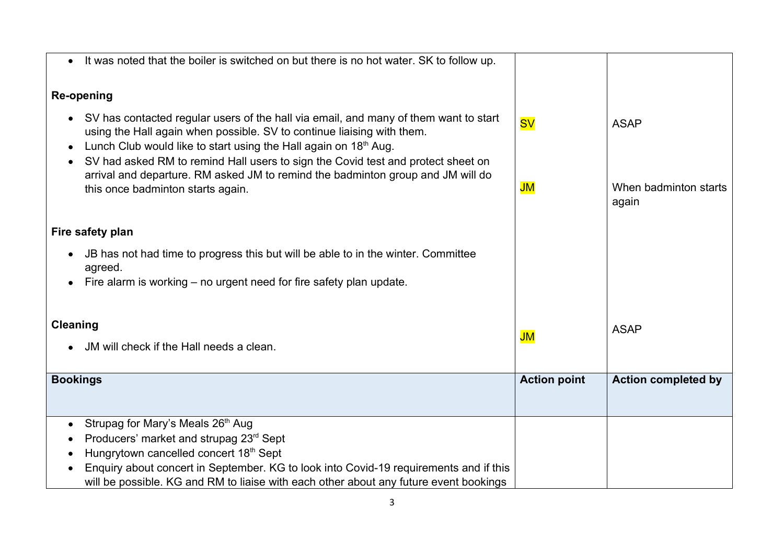| It was noted that the boiler is switched on but there is no hot water. SK to follow up.                                                                                                                                                                                                                                                  |                     |                                |
|------------------------------------------------------------------------------------------------------------------------------------------------------------------------------------------------------------------------------------------------------------------------------------------------------------------------------------------|---------------------|--------------------------------|
|                                                                                                                                                                                                                                                                                                                                          |                     |                                |
| Re-opening                                                                                                                                                                                                                                                                                                                               |                     |                                |
| SV has contacted regular users of the hall via email, and many of them want to start<br>using the Hall again when possible. SV to continue liaising with them.<br>Lunch Club would like to start using the Hall again on 18th Aug.<br>٠<br>SV had asked RM to remind Hall users to sign the Covid test and protect sheet on<br>$\bullet$ | <b>SV</b>           | <b>ASAP</b>                    |
| arrival and departure. RM asked JM to remind the badminton group and JM will do<br>this once badminton starts again.                                                                                                                                                                                                                     | JM                  | When badminton starts<br>again |
| Fire safety plan                                                                                                                                                                                                                                                                                                                         |                     |                                |
| JB has not had time to progress this but will be able to in the winter. Committee<br>agreed.                                                                                                                                                                                                                                             |                     |                                |
| Fire alarm is working – no urgent need for fire safety plan update.                                                                                                                                                                                                                                                                      |                     |                                |
| <b>Cleaning</b><br>JM will check if the Hall needs a clean.                                                                                                                                                                                                                                                                              | JM                  | <b>ASAP</b>                    |
| <b>Bookings</b>                                                                                                                                                                                                                                                                                                                          | <b>Action point</b> | <b>Action completed by</b>     |
|                                                                                                                                                                                                                                                                                                                                          |                     |                                |
| Strupag for Mary's Meals 26th Aug<br>Producers' market and strupag 23rd Sept<br>Hungrytown cancelled concert 18th Sept<br>$\bullet$                                                                                                                                                                                                      |                     |                                |
| Enquiry about concert in September. KG to look into Covid-19 requirements and if this<br>$\bullet$<br>will be possible. KG and RM to liaise with each other about any future event bookings                                                                                                                                              |                     |                                |